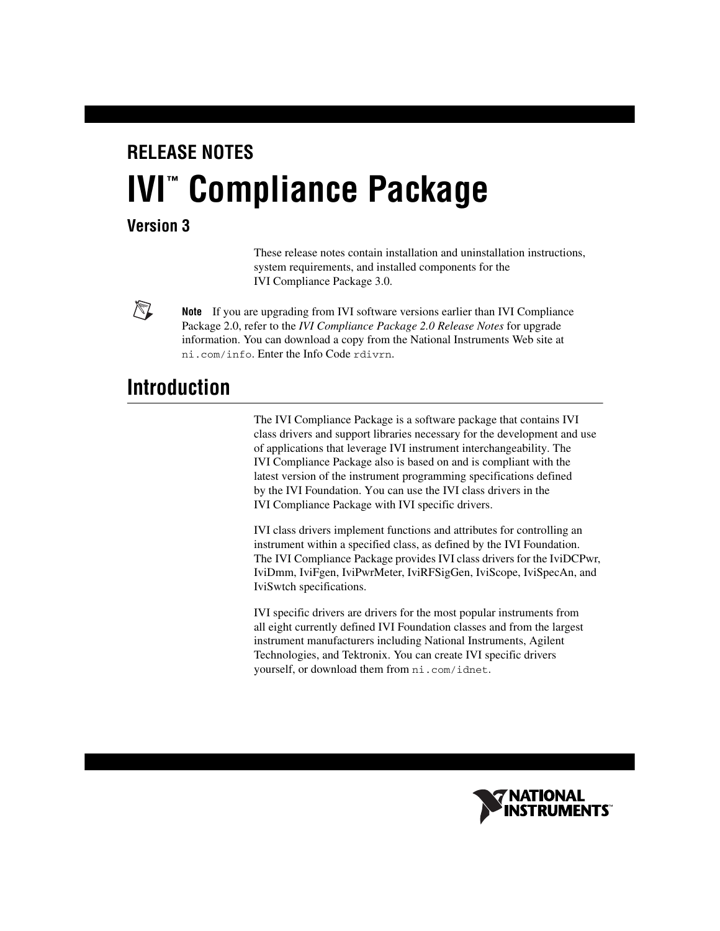# **RELEASE NOTES IVI**" Compliance Package

#### **Version 3**

 $\mathbb{N}$ 

These release notes contain installation and uninstallation instructions, system requirements, and installed components for the IVI Compliance Package 3.0.

**Note** If you are upgrading from IVI software versions earlier than IVI Compliance Package 2.0, refer to the *IVI Compliance Package 2.0 Release Notes* for upgrade information. You can download a copy from the National Instruments Web site at ni.com/info. Enter the Info Code rdivrn.

# **Introduction**

The IVI Compliance Package is a software package that contains IVI class drivers and support libraries necessary for the development and use of applications that leverage IVI instrument interchangeability. The IVI Compliance Package also is based on and is compliant with the latest version of the instrument programming specifications defined by the IVI Foundation. You can use the IVI class drivers in the IVI Compliance Package with IVI specific drivers.

IVI class drivers implement functions and attributes for controlling an instrument within a specified class, as defined by the IVI Foundation. The IVI Compliance Package provides IVI class drivers for the IviDCPwr, IviDmm, IviFgen, IviPwrMeter, IviRFSigGen, IviScope, IviSpecAn, and IviSwtch specifications.

IVI specific drivers are drivers for the most popular instruments from all eight currently defined IVI Foundation classes and from the largest instrument manufacturers including National Instruments, Agilent Technologies, and Tektronix. You can create IVI specific drivers yourself, or download them from ni.com/idnet.

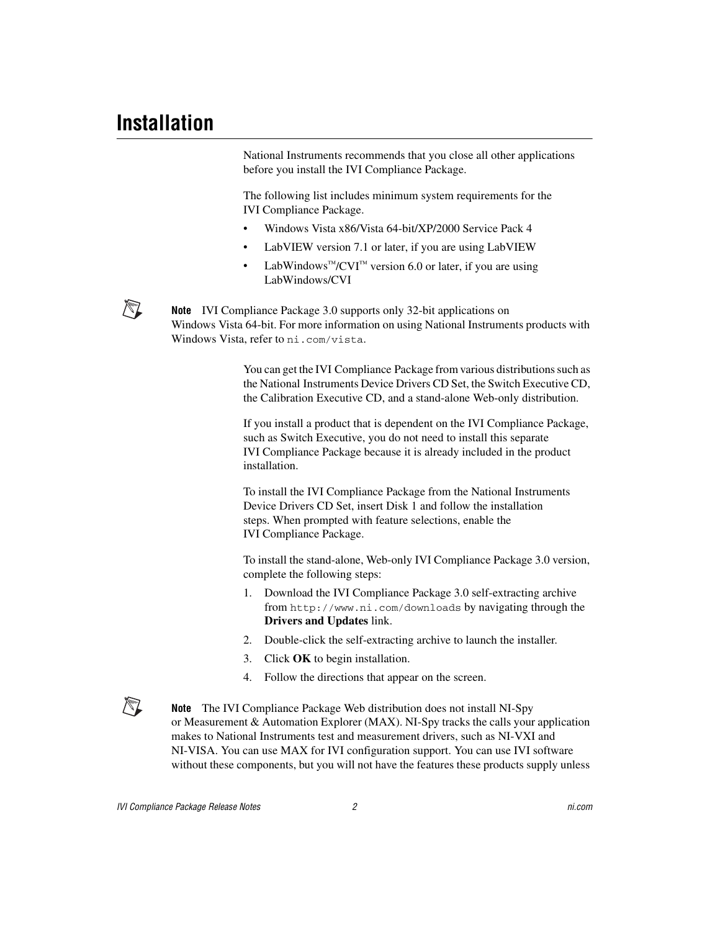$\mathbb{N}$ 

National Instruments recommends that you close all other applications before you install the IVI Compliance Package.

The following list includes minimum system requirements for the IVI Compliance Package.

- Windows Vista x86/Vista 64-bit/XP/2000 Service Pack 4
- LabVIEW version 7.1 or later, if you are using LabVIEW
- LabWindows™/CVI™ version 6.0 or later, if you are using LabWindows/CVI

**Note** IVI Compliance Package 3.0 supports only 32-bit applications on Windows Vista 64-bit. For more information on using National Instruments products with Windows Vista, refer to ni.com/vista.

> You can get the IVI Compliance Package from various distributions such as the National Instruments Device Drivers CD Set, the Switch Executive CD, the Calibration Executive CD, and a stand-alone Web-only distribution.

> If you install a product that is dependent on the IVI Compliance Package, such as Switch Executive, you do not need to install this separate IVI Compliance Package because it is already included in the product installation.

To install the IVI Compliance Package from the National Instruments Device Drivers CD Set, insert Disk 1 and follow the installation steps. When prompted with feature selections, enable the IVI Compliance Package.

To install the stand-alone, Web-only IVI Compliance Package 3.0 version, complete the following steps:

- 1. Download the IVI Compliance Package 3.0 self-extracting archive from http://www.ni.com/downloads by navigating through the **Drivers and Updates** link.
- 2. Double-click the self-extracting archive to launch the installer.
- 3. Click **OK** to begin installation.
- 4. Follow the directions that appear on the screen.

**Note** The IVI Compliance Package Web distribution does not install NI-Spy or Measurement & Automation Explorer (MAX). NI-Spy tracks the calls your application makes to National Instruments test and measurement drivers, such as NI-VXI and NI-VISA. You can use MAX for IVI configuration support. You can use IVI software without these components, but you will not have the features these products supply unless

 $\mathbb{N}$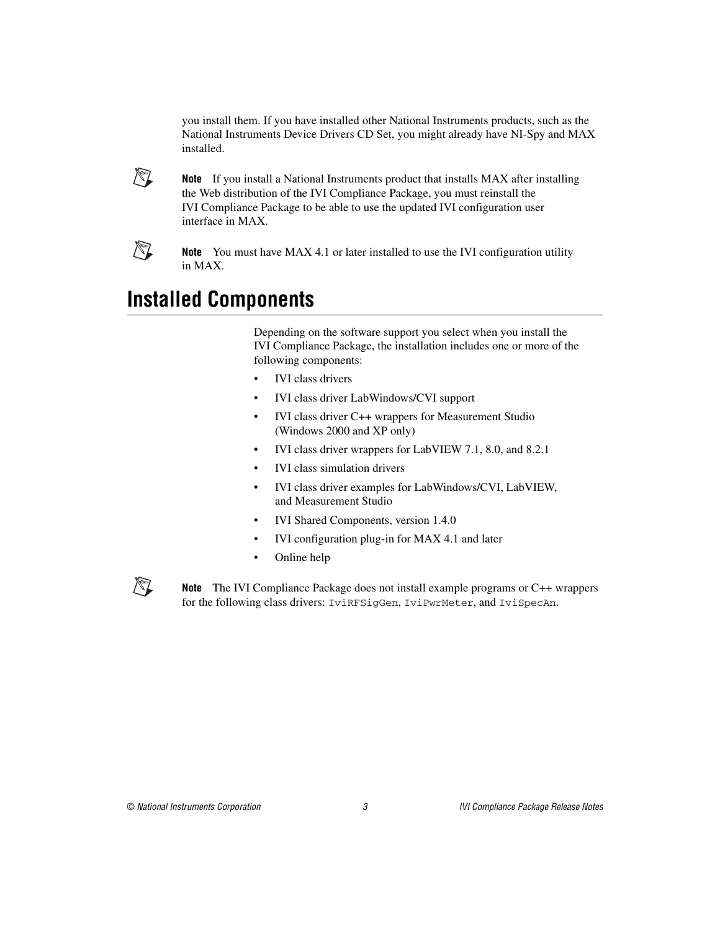you install them. If you have installed other National Instruments products, such as the National Instruments Device Drivers CD Set, you might already have NI-Spy and MAX installed.



**Note** If you install a National Instruments product that installs MAX after installing the Web distribution of the IVI Compliance Package, you must reinstall the IVI Compliance Package to be able to use the updated IVI configuration user interface in MAX.



 $\mathbb{N}$ 

**Note** You must have MAX 4.1 or later installed to use the IVI configuration utility in MAX.

## **Installed Components**

Depending on the software support you select when you install the IVI Compliance Package, the installation includes one or more of the following components:

- IVI class drivers
- IVI class driver LabWindows/CVI support
- IVI class driver C++ wrappers for Measurement Studio (Windows 2000 and XP only)
- IVI class driver wrappers for LabVIEW 7.1, 8.0, and 8.2.1
- IVI class simulation drivers
- IVI class driver examples for LabWindows/CVI, LabVIEW, and Measurement Studio
- IVI Shared Components, version 1.4.0
- IVI configuration plug-in for MAX 4.1 and later
- Online help

**Note** The IVI Compliance Package does not install example programs or C++ wrappers for the following class drivers: IviRFSigGen, IviPwrMeter, and IviSpecAn.